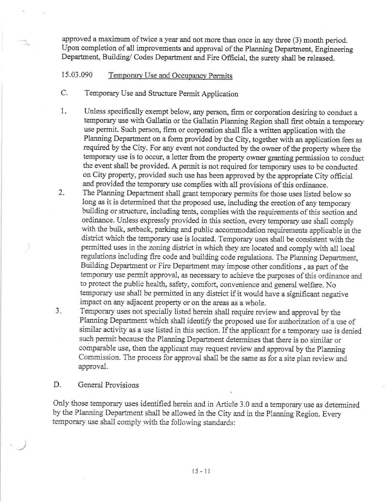approved a maximum of twice a year and not more than once in any three (3) month period. Upon completion of all improvements and approval of the Planning Department, Engineering Department, Building/ Codes Department and Fire Official, the surety shall be released.

## 15.03.090 Temporary Use and Occupancy Permits

- C. Temporary Use and Structure Permit Application
- 1. Unless specifically exempt below, any person, firm or corporation desiring to conduct a temporary use with Gallatin or the Gallatin Planning Region shall first obtain a temporary use permit. Such person, firm or corporation shall file a written application with the Planning Department on a form provided by the City, together with an application fees as required by the City. For any event not conducted by the owner of the property where the temporary use is to occur, a letter from the property owner granting permission to conduct the event shall be provided. A permit is not required for temporary uses to be conducted on City properfy, provided such use has been approved by the appropriate City officiat and provided the temporary use complies with all provisions of this ordinance.
- The Planning Department shall grant temporary permits for those uses listed below so long as it is determined that the proposed use, including the erection of any temporary building or structure, including tents, complies with the requirements of this section and ordinance. Unless expressly provided in this section, every temporary use shall comply with the bulk, setback, parking and public accommodation requirements applicable in the district which the temporary use is located. Temporary uses shall be consistent with the permitted uses in the zoning district in which they are located and conrply with all local regulations including fire code and building code regulations. The Planning Department, Building Department or Fire Department may impose other conditions, as part of the temporary use permit approval, as necessary to achieve the purposes of this ordinance and to protect the public health, safety, comfort, convenience and general welfare. No temporary use shall be permitted in any district if it would have a significant negative impact on any adjacent property or on the areas as a whole.  $2.$
- Temporary uses not specially listed herein shall require review and approval by the Planning Department which shall identify the proposed use for authorization of a use of similar activity as a use listed in this section. If the applicant for a temporary use is denied such permit because the Planning Department determines that there is no similar or comparable use, then the applicant may request review and approval by the Planning Commission. The process for approval shall be the same as for a site plan review and. approval. a 3

D. General Provisions

Only those temporary uses identified herein and in Article 3.0 and a temporary use as determined by the Planning Department shall be ailowed in the City and in the Planning Region. Every temporary use shall comply with the following standards: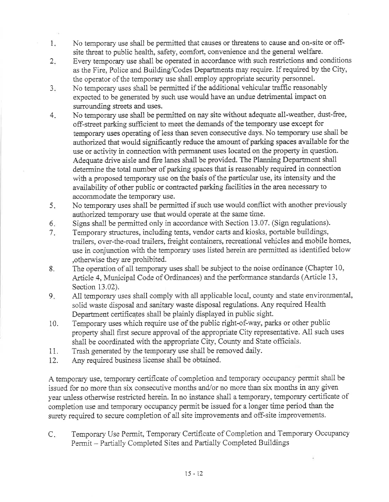- No temporary use shall be permitted that causes or threatens to cause and on-site or off- $1.$ site threat to public health, safety, comfort, convenience and the general welfare.
- Every temporary use shall be operated in accordance with such restrictions and conditions  $2.$ as the Fire, Police and Building/Codes Departments may require. If required by the City, the operator of the temporary use shall employ appropriate security personnel.
- No temporary uses shall be permitted if the additional vehicular traffic reasonably  $3<sub>1</sub>$ expected to be generated by such use would have an undue detrimental impact on surrounding streets and uses.
- $4.$ No temporary use shall be permitted on nay site without adequate all-weather, dust-free, off-street parking sufficient to meet the demands of the temporary use except for temporary uses operating of less than seven consecutive days. No temporary use shall be authorized that would significantly reduce the amount of parking spaces available for the use or activity in connection with permanent uses located on the property in question. Adequate drive aisle and fire lanes shall be provided. The Planning Department shall determine the total number of parking spaces that is reasonably required in connection with a proposed temporary use on the basis of the particular use, its intensity and the availability of other public or contracted parking facilities in the area necessary to accommodate the temporary use.
- No temporary uses shall be permitted if such use would conflict with another previously 5. authorized temporary use that would operate at the same time.
- Signs shall be permitted only in accordance with Section 13.07. (Sign regulations). 6.
- Temporary structures, including tents, vendor carts and kiosks, portable buildings,  $7.$ trailers, over-the-road trailers, freight containers, recreational vehicles and mobile homes, use in conjunction with the temporary uses listed herein are permitted as identified below , otherwise they are prohibited.
- The operation of all temporary uses shall be subject to the noise ordinance (Chapter 10, 8. Article 4, Municipal Code of Ordinances) and the performance standards (Article 13, Section 13.02).
- All temporary uses shall comply with all applicable local, county and state environmental,  $9.$ solid waste disposal and sanitary waste disposal regulations. Any required Health Department certificates shall be plainly displayed in public sight.
- Temporary uses which require use of the public right-of-way, parks or other public 10. property shall first secure approval of the appropriate City representative. All such uses shall be coordinated with the appropriate City, County and State officials.
- Trash generated by the temporary use shall be removed daily. 11.
- $12.$ Any required business license shall be obtained.

A temporary use, temporary certificate of completion and temporary occupancy permit shall be issued for no more than six consecutive months and/or no more than six months in any given year unless otherwise restricted herein. In no instance shall a temporary, temporary certificate of completion use and temporary occupancy permit be issued for a longer time period than the surety required to secure completion of all site improvements and off-site improvements.

Temporary Use Permit, Temporary Certificate of Completion and Temporary Occupancy  $C_{\star}$ Permit - Partially Completed Sites and Partially Completed Buildings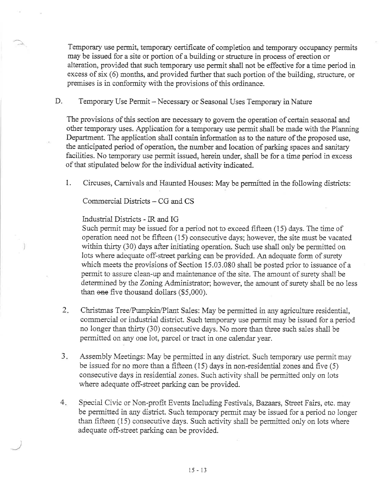Temporary use permit, temporary certificate of completion and temporary occupancy permits may be issued for a site or portion of a building or structure in process of erection or alteration, provided that such temporary use permit shall not be effective for a time period in excess of six (6) months, and provided further that such portion of the building, structure, or premises is in conformity with the provisions of this ordinance.

D. Temporary Use Permit - Necessary or Seasonal Uses Temporary in Nature

The provisions of this section are necessary to govern the operation of certain seasonal and other temporary uses. Application for a temporary use permit shall be made with the Planning Department. The application shall contain information as to the nature of the proposed use, the anticipated period of operation, the number and location of parking spaces and sanitary facilities. No temporary use permit issued, herein under, shall be for a time period in excess of that stipulated beiow for the individual activity indicated.

1. Circuses, Carnivals and Haunted Houses: May be permitted in the following districts:

Commercial Districts - CG and CS

Industrial Districts - IR and IG

Such permit may be issued for a period not to exceed fifteen {15) days. The time of operation need not be fifteen  $(15)$  consecutive days; however, the site must be vacated within thirty (30) days after initiating operation. Such use shall only be permitted on lots where adequate off-street parking can be provided. An adequate form of surety which meets the provisions of Section 15.03.080 shall be posted prior to issuance of a permit to assure clean-up and maintenance of the site. The amount of surety shall be determined by the Zoning Administrator; however, the amount of surety shall be no less than one five thousand dollars (\$5,000).

- Christmas Tree/Pumpkin/Plant Sales: May be permitted in any agriculture residential, commercial or industrial district. Such temporary use permit may be issued for a period no longer than thirty (30) consecutive days. No more than three such sales shall be permitted on any one lot, parcei or tract in one calendar year. 2.
- Assembly Meetings: May be permitted in any district. Such temporary use permit may be issued for no more than a fifteen (15) days in non-residential zones and five (5) consecutive days in residential zones. Such activity shall be permitted only on lots where adequate off-street parking can be provided.  $3.$
- Special Civic or Non-profit Events Including Festivals, Bazaars, Street Fairs, etc. may be permitted in any district. Such temporary permit may be issued for a period no longer than fifteen  $(15)$  consecutive days. Such activity shall be permitted only on lots where adequate off-street parking can be provided.  $4.$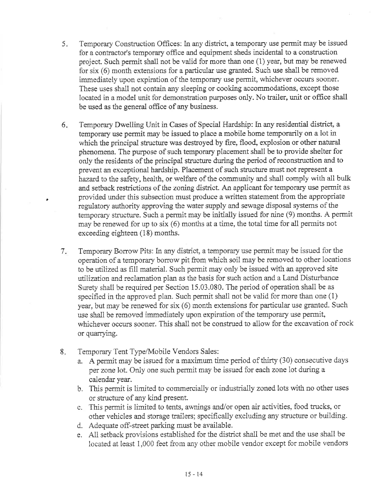- 5 Temporary Construction Offices: In any district, a temporary use permit may be issued for a contractor's temporary office and equipment sheds incidental to a construction project. Such permit shall not be valid for more than one (1) year, but may be renewed for six (6) month extensions for a particular use granted. Such use shall be removed immediately upon expiration of the temporary use permit, whichever occurs sooner. These uses shall not contain any sleeping or cooking accommodations, except those located in a model unit for demonstration purposes only. No trailer, unit or office shall be used as the general office of any business.
- Temporary Dwelling Unit in Cases of Special Hardship: In any residential district, a temporary use permit may be issued to place a mobile home temporarily on a lot in which the principal structure was destroyed by fire, flood, explosion or other natural phenomena. The purpose of such temporaryplacement shali be to provide shelter for only the residents of the principal structure during the period of reconstruction and to prevent an exceptional hardship. Placement of such structure must not represent a hazard to the safety, health, or welfare of the community and shall comply with all bulk and setback restrictions of the zoning district. An applicant for temporary use permit as provided under this subsection must produce a written statement from the appropriate regulatory authority approving the water supply and sewage disposal systems of the temporary structure. Such a permit may be initially issued for nine (9) months. A permit may be renewed for up to six (6) months at a time, the total time for all permits not exceeding eighteen (18) months. 6.

Temporary Borrow Pits: In any district, a temporary use permit may be issued for the operation of a temporary borrow pit from which soil may be removed to other locations to be utilized as fill material. Such pennit may only be issued with an approved site utilization and reclamation plan as the basis for such action and a Land Disturbance Surety shall be required per Section 15.03.080. The period of operation shall be as specified in the approved plan. Such permit shall not be valid for more than one (1) year, but may be renewed for six  $(6)$  month extensions for particular use granted. Such use shali be removed immediately upon expiration of the temporary use permit, whichever occurs sooner. This shall not be construed to allow for the excavation of rock or quarrying.  $7.$ 

Temporary Tent Type/Mobile Vendors Sales:  $8.$ 

)

- a. A permit may be issued for a maximum time period of thirry (30) consecutive days per zone lot. Only one such permit may be issued for each zone lot dwing a calendar year.
- b. This permit is iimited to commercially or industrially zoned lots with no other uses or structure of any kind present.
- c. This permit is limited to tents, awnings and/or open air activities, food trucks, or other vehicles and storage trailers; specifically excluding any structure or building.
- d. Adequate off-street parking must be avaiiabie.
- e. All setback provisions established for the district shall be met and the use shall be located at least 1,000 feet from any other mobile vendor except for mobile vendors